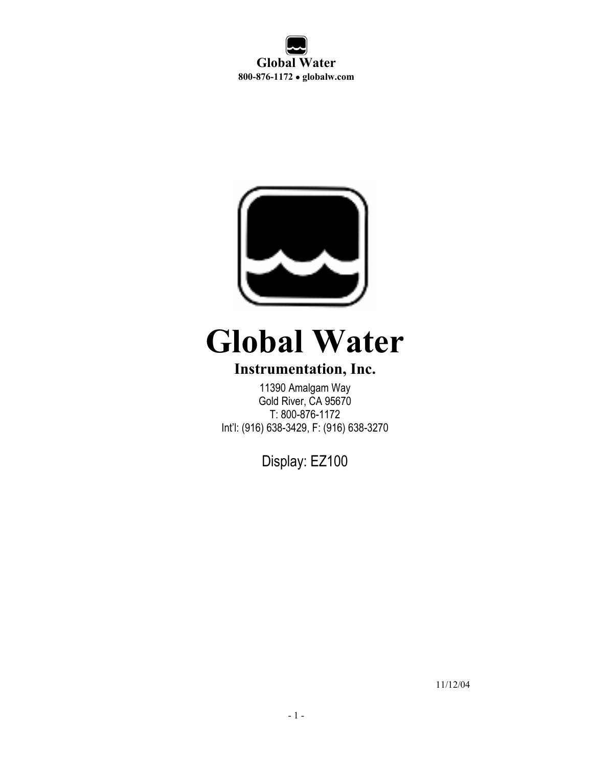**Global Water 800-876-1172** • **globalw.com** 



# **Global Water**

# **Instrumentation, Inc.**

11390 Amalgam Way Gold River, CA 95670 T: 800-876-1172 Int'l: (916) 638-3429, F: (916) 638-3270

Display: EZ100

11/12/04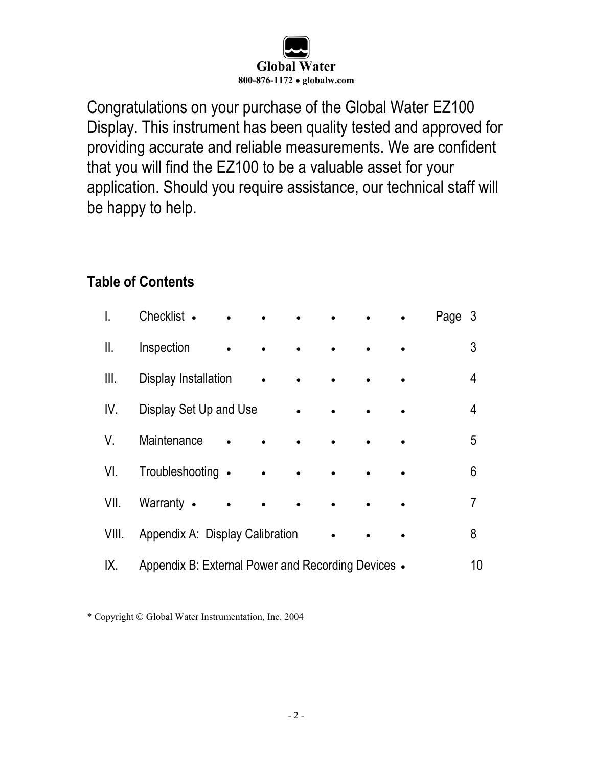

Congratulations on your purchase of the Global Water EZ100 Display. This instrument has been quality tested and approved for providing accurate and reliable measurements. We are confident that you will find the EZ100 to be a valuable asset for your application. Should you require assistance, our technical staff will be happy to help.

# **Table of Contents**

| I.    | Checklist •                                        |           |  | Page 3 |    |
|-------|----------------------------------------------------|-----------|--|--------|----|
| Ⅱ.    | Inspection                                         |           |  |        | 3  |
| Ⅲ.    | Display Installation                               |           |  |        | 4  |
| IV.   | Display Set Up and Use                             |           |  |        | 4  |
| V.    | Maintenance                                        |           |  |        | 5  |
| VI.   | Troubleshooting •                                  | $\bullet$ |  |        | 6  |
| VII.  | Warranty •                                         | $\bullet$ |  |        | 7  |
| VIII. | Appendix A: Display Calibration                    |           |  |        | 8  |
| IX.   | Appendix B: External Power and Recording Devices • |           |  |        | 10 |

\* Copyright Global Water Instrumentation, Inc. 2004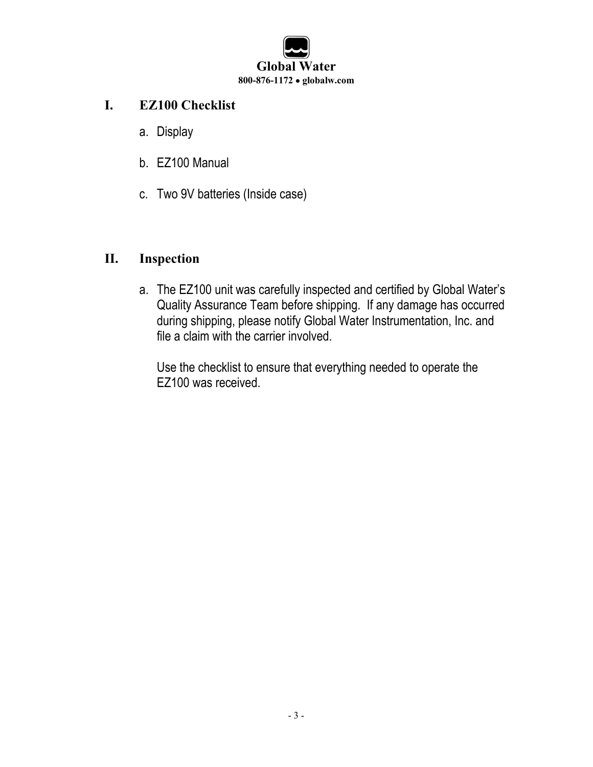

#### **I. EZ100 Checklist**

- a. Display
- b. EZ100 Manual
- c. Two 9V batteries (Inside case)

#### **II. Inspection**

a. The EZ100 unit was carefully inspected and certified by Global Water's Quality Assurance Team before shipping. If any damage has occurred during shipping, please notify Global Water Instrumentation, Inc. and file a claim with the carrier involved.

Use the checklist to ensure that everything needed to operate the EZ100 was received.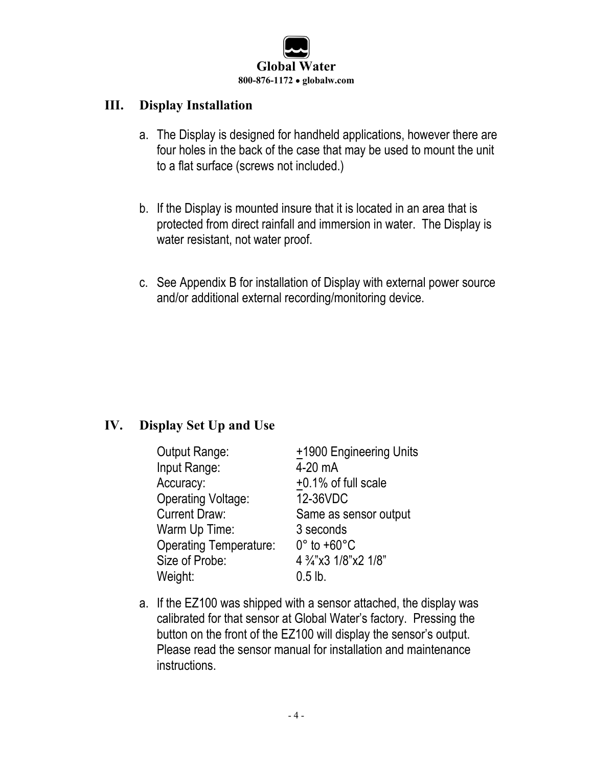

#### **III. Display Installation**

- a. The Display is designed for handheld applications, however there are four holes in the back of the case that may be used to mount the unit to a flat surface (screws not included.)
- b. If the Display is mounted insure that it is located in an area that is protected from direct rainfall and immersion in water. The Display is water resistant, not water proof.
- c. See Appendix B for installation of Display with external power source and/or additional external recording/monitoring device.

## **IV. Display Set Up and Use**

| <b>Output Range:</b>          | +1900 Engineering Units     |
|-------------------------------|-----------------------------|
| Input Range:                  | 4-20 mA                     |
| Accuracy:                     | +0.1% of full scale         |
| <b>Operating Voltage:</b>     | 12-36VDC                    |
| <b>Current Draw:</b>          | Same as sensor output       |
| Warm Up Time:                 | 3 seconds                   |
| <b>Operating Temperature:</b> | $0^\circ$ to +60 $^\circ$ C |
| Size of Probe:                | 4 3/4"x3 1/8"x2 1/8"        |
| Weight:                       | $0.5$ lb.                   |

a. If the EZ100 was shipped with a sensor attached, the display was calibrated for that sensor at Global Water's factory. Pressing the button on the front of the EZ100 will display the sensor's output. Please read the sensor manual for installation and maintenance instructions.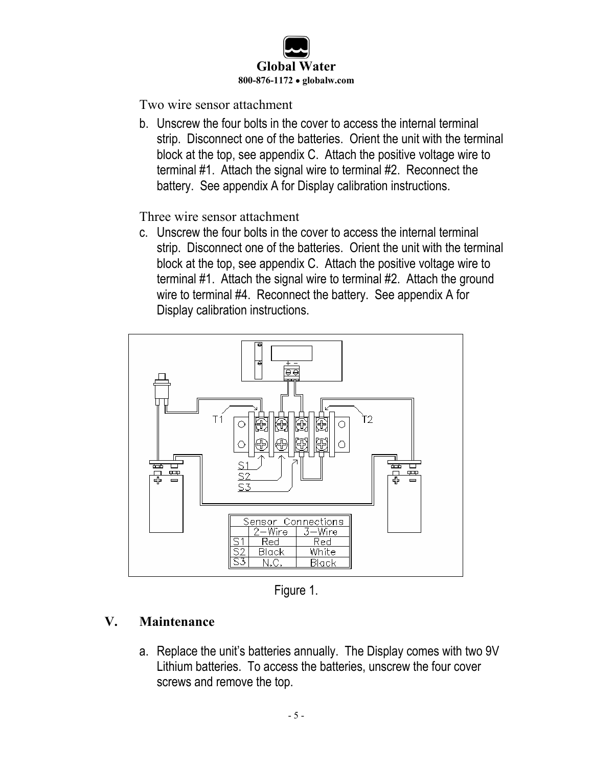

Two wire sensor attachment

b. Unscrew the four bolts in the cover to access the internal terminal strip. Disconnect one of the batteries. Orient the unit with the terminal block at the top, see appendix C. Attach the positive voltage wire to terminal #1. Attach the signal wire to terminal #2. Reconnect the battery. See appendix A for Display calibration instructions.

Three wire sensor attachment

c. Unscrew the four bolts in the cover to access the internal terminal strip. Disconnect one of the batteries. Orient the unit with the terminal block at the top, see appendix C. Attach the positive voltage wire to terminal #1. Attach the signal wire to terminal #2. Attach the ground wire to terminal #4. Reconnect the battery. See appendix A for Display calibration instructions.



Figure 1.

## **V. Maintenance**

a. Replace the unit's batteries annually. The Display comes with two 9V Lithium batteries. To access the batteries, unscrew the four cover screws and remove the top.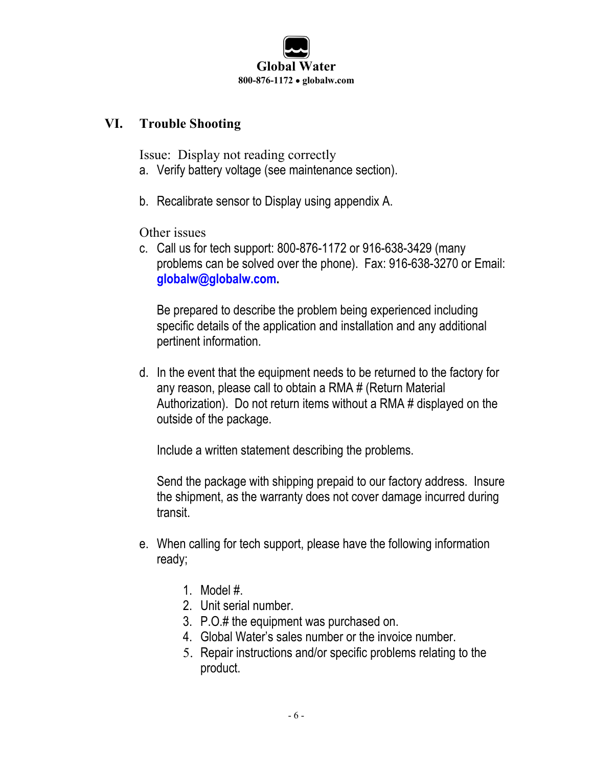

#### **VI. Trouble Shooting**

Issue: Display not reading correctly

- a. Verify battery voltage (see maintenance section).
- b. Recalibrate sensor to Display using appendix A.

Other issues

c. Call us for tech support: 800-876-1172 or 916-638-3429 (many problems can be solved over the phone). Fax: 916-638-3270 or Email: **globalw@globalw.com.**

Be prepared to describe the problem being experienced including specific details of the application and installation and any additional pertinent information.

d. In the event that the equipment needs to be returned to the factory for any reason, please call to obtain a RMA # (Return Material Authorization). Do not return items without a RMA # displayed on the outside of the package.

Include a written statement describing the problems.

Send the package with shipping prepaid to our factory address. Insure the shipment, as the warranty does not cover damage incurred during transit.

- e. When calling for tech support, please have the following information ready;
	- 1. Model #.
	- 2. Unit serial number.
	- 3. P.O.# the equipment was purchased on.
	- 4. Global Water's sales number or the invoice number.
	- 5. Repair instructions and/or specific problems relating to the product.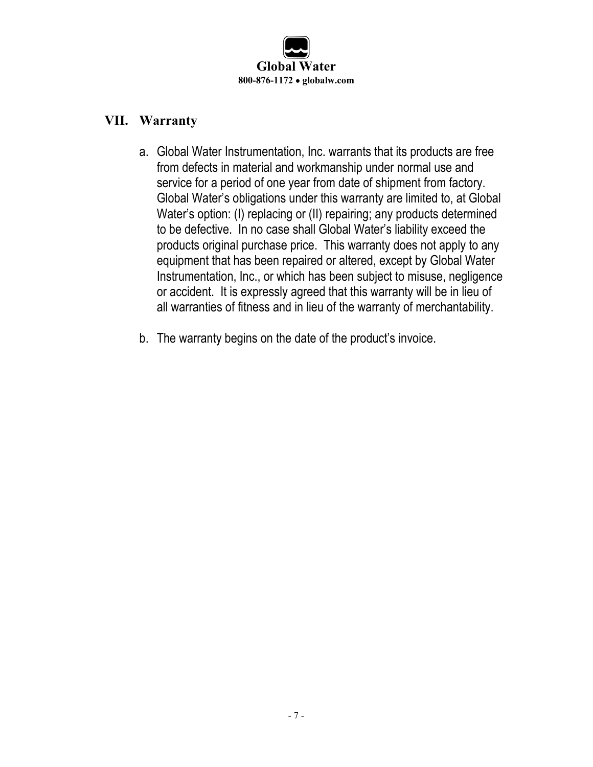

#### **VII. Warranty**

- a. Global Water Instrumentation, Inc. warrants that its products are free from defects in material and workmanship under normal use and service for a period of one year from date of shipment from factory. Global Water's obligations under this warranty are limited to, at Global Water's option: (I) replacing or (II) repairing; any products determined to be defective. In no case shall Global Water's liability exceed the products original purchase price. This warranty does not apply to any equipment that has been repaired or altered, except by Global Water Instrumentation, Inc., or which has been subject to misuse, negligence or accident. It is expressly agreed that this warranty will be in lieu of all warranties of fitness and in lieu of the warranty of merchantability.
- b. The warranty begins on the date of the product's invoice.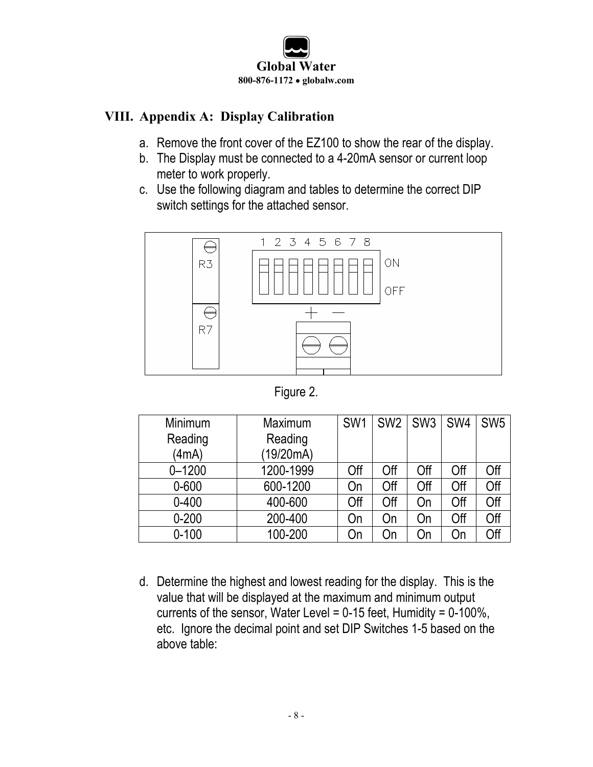

#### **VIII. Appendix A: Display Calibration**

- a. Remove the front cover of the EZ100 to show the rear of the display.
- b. The Display must be connected to a 4-20mA sensor or current loop meter to work properly.
- c. Use the following diagram and tables to determine the correct DIP switch settings for the attached sensor.



Figure 2.

| Minimum    | Maximum   | SW <sub>1</sub> | SW <sub>2</sub> | SW <sub>3</sub> | SW4 | SW <sub>5</sub> |
|------------|-----------|-----------------|-----------------|-----------------|-----|-----------------|
| Reading    | Reading   |                 |                 |                 |     |                 |
| (4mA)      | (19/20mA) |                 |                 |                 |     |                 |
| $0 - 1200$ | 1200-1999 | Off             | Off             | Off             | Off | Off             |
| $0 - 600$  | 600-1200  | On              | Off             | Off             | Off | Off             |
| $0 - 400$  | 400-600   | Off             | Off             | On              | Off | Off             |
| $0 - 200$  | 200-400   | On              | On              | On              | Off | Off             |
| $0 - 100$  | 100-200   | On              | On              | On              | On  | Off             |

d. Determine the highest and lowest reading for the display. This is the value that will be displayed at the maximum and minimum output currents of the sensor, Water Level =  $0-15$  feet, Humidity =  $0-100\%$ , etc. Ignore the decimal point and set DIP Switches 1-5 based on the above table: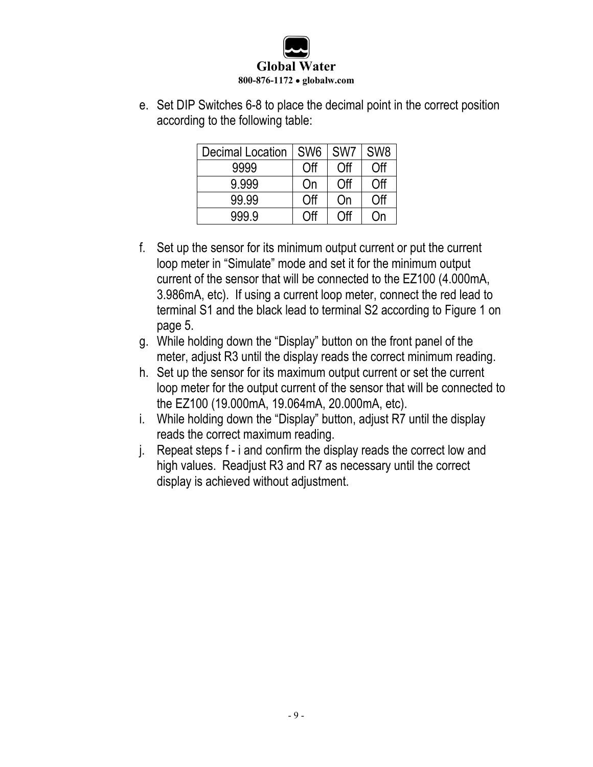

e. Set DIP Switches 6-8 to place the decimal point in the correct position according to the following table:

| <b>Decimal Location</b> | SW <sub>6</sub> | SW <sub>7</sub> | SW <sub>8</sub> |
|-------------------------|-----------------|-----------------|-----------------|
| 9999                    | Off             | Off             | Off             |
| 9.999                   | On              | Off             | Off             |
| 99.99                   | Off             | On              | Off             |
| 999.9                   | ∩ff             | ∩ff             | )n              |

- f. Set up the sensor for its minimum output current or put the current loop meter in "Simulate" mode and set it for the minimum output current of the sensor that will be connected to the EZ100 (4.000mA, 3.986mA, etc). If using a current loop meter, connect the red lead to terminal S1 and the black lead to terminal S2 according to Figure 1 on page 5.
- g. While holding down the "Display" button on the front panel of the meter, adjust R3 until the display reads the correct minimum reading.
- h. Set up the sensor for its maximum output current or set the current loop meter for the output current of the sensor that will be connected to the EZ100 (19.000mA, 19.064mA, 20.000mA, etc).
- i. While holding down the "Display" button, adjust R7 until the display reads the correct maximum reading.
- j. Repeat steps f i and confirm the display reads the correct low and high values. Readjust R3 and R7 as necessary until the correct display is achieved without adjustment.